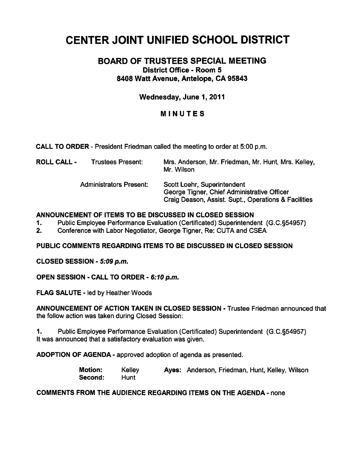# CENTER JOINT UNIFIED SCHOOL DISTRICT

## BOARD OF TRUSTEES SPECIAL MEETING District Office - Room 5 8408 Watt Avenue, Antelope, CA 95843

## Wednesday, June 1,2011

### MINUTES

CALL TO ORDER - President Friedman called the meeting to order at 5:00 p.m.

| <b>ROLL CALL -</b> | Trustees Present: | Mrs. Anderson, Mr. Friedman, Mr. Hunt, Mrs. Kelley, |
|--------------------|-------------------|-----------------------------------------------------|
|                    |                   | Mr. Wilson                                          |

Administrators Present: Scott Loehr, Superintendent

George Tigner, Chief Administrative Officer Craig Deason, Assist. Supt., Operations & Facilities

#### ANNOUNCEMENT OF ITEMS TO BE DISCUSSED IN CLOSED SESSION

1. Public Employee Performance Evaluation (Certificated) Superintendent (G.C.§54957)

2. Conference with Labor Negotiator, George Tigner, Re: CUTA and CSEA

PUBLIC COMMENTS REGARDING ITEMS TO BE DISCUSSED IN CLOSED SESSION

CLOSED SESSION - 5:09 p.m.

OPEN SESSION - CALL TO ORDER - 6:10 p.m.

FLAG SALUTE - led by Heather Woods

ANNOUNCEMENT OF ACTION TAKEN IN CLOSED SESSION - Trustee Friedman announced that the follow action was taken during Closed Session:

1. Public Employee Performance Evaluation (Certificated) Superintendent (G.C.§54957) It was announced that a satisfactory evaluation was given.

ADOPTION OF AGENDA - approved adoption of agenda as presented.

Motion: Kelley Ayes: Anderson, Friedman, Hunt, Kelley, Wilson Second: Hunt

#### COMMENTS FROM THE AUDIENCE REGARDING ITEMS ON THE AGENDA- none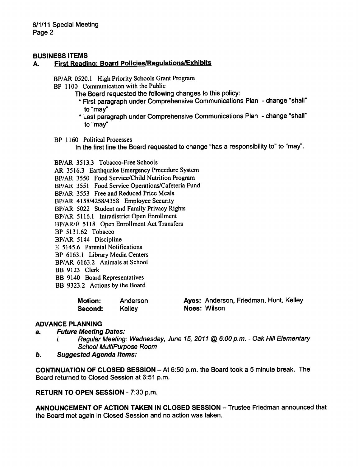#### BUSINESS ITEMS

#### A. First Reading: Board Policies/Regulations/Exhibits

BP/AR 0520.1 High Priority Schools Grant Program

BP 1100 Communication with the Public

- The Board requested the following changes to this policy:
	- \* First paragraph under Comprehensive Communications Plan change "shall" to "may"
	- \* Last paragraph under Comprehensive Communications Plan change "shall" to "may"

BP 1160 Political Processes

In the first line the Board requested to change "has a responsibility to" to "may".

BP/AR 3513.3 Tobacco-Free Schools

AR 3516.3 Earthquake Emergency Procedure System

BP/AR 3550 Food Service/Child Nutrition Program

BP/AR 3551 Food Service Operations/Cafeteria Fund

BP/AR 3553 Free and Reduced Price Meals

BP/AR 4158/4258/4358 Employee Security

BP/AR 5022 Student and Family Privacy Rights

BP/AR 5116.1 Intradistrict Open Enrollment

BP/AR/E 5118 Open Enrollment Act Transfers

BP 5131.62 Tobacco

BP/AR 5144 Discipline

E 5145.6 Parental Notifications

BP 6163.1 Library Media Centers

BP/AR 6163.2 Animals at School

BB 9123 Clerk

BB 9140 Board Representatives

BB 9323.2 Actions by the Board

| <b>Motion:</b> | Anderson | Ayes: Anderson, Friedman, Hunt, Kelley |  |
|----------------|----------|----------------------------------------|--|
| Second:        | Kelley   | Noes: Wilson                           |  |

#### ADVANCE PLANNING

#### a. Future Meeting Dates:

- i. Regular Meeting: Wednesday, June 15, 2011 @ 6:00 p.m. Oak Hill Elementary School MultiPurpose Room
- b. Suggested Agenda Items:

CONTINUATION OF CLOSED SESSION - At 6:50 p.m. the Board took a 5 minute break. The Board returned to Closed Session at 6:51 p.m.

RETURN TO OPEN SESSION - 7:30 p.m.

ANNOUNCEMENT OF ACTION TAKEN IN CLOSED SESSION - Trustee Friedman announced that the Board met again in Closed Session and no action was taken.